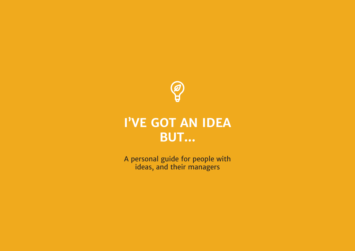

# **I'VE GOT AN IDEA BUT...**

A personal guide for people with ideas, and their managers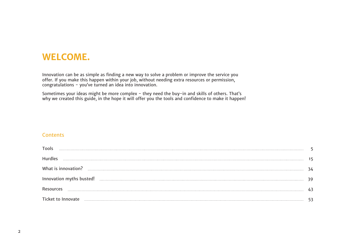# **WELCOME.**

Innovation can be as simple as finding a new way to solve a problem or improve the service you offer. If you make this happen within your job, without needing extra resources or permission, congratulations - you've turned an idea into innovation.

Sometimes your ideas might be more complex - they need the buy-in and skills of others. That's why we created this guide, in the hope it will offer you the tools and confidence to make it happen!

#### **Contents**

| Hurdles                                                                                                        |  |
|----------------------------------------------------------------------------------------------------------------|--|
|                                                                                                                |  |
|                                                                                                                |  |
| Resources                                                                                                      |  |
| Ticket to Innovate manufacture and the contract contract to the contract to the contract to Innovate 1.1.1.1.1 |  |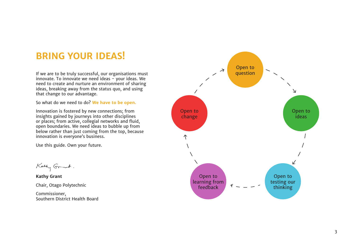# **BRING YOUR IDEAS!**

If we are to be truly successful, our organisations must innovate. To innovate we need ideas - your ideas. We need to create and nurture an environment of sharing ideas, breaking away from the status quo, and using that change to our advantage.

So what do we need to do? **We have to be open.**

Innovation is fostered by new connections; from insights gained by journeys into other disciplines or places; from active, collegial networks and fluid, open boundaries. We need ideas to bubble up from below rather than just coming from the top, because innovation is everyone's business.

Use this guide. Own your future.

Kathy Grat.

**Kathy Grant**  Chair, Otago Polytechnic

Commissioner, Southern District Health Board

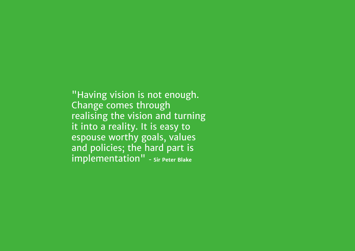"Having vision is not enough. Change comes through realising the vision and turning it into a reality. It is easy to espouse worthy goals, values and policies; the hard part is implementation" **- Sir Peter Blake**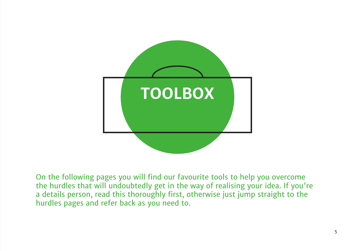

On the following pages you will find our favourite tools to help you overcome the hurdles that will undoubtedly get in the way of realising your idea. If you're a details person, read this thoroughly first, otherwise just jump straight to the hurdles pages and refer back as you need to.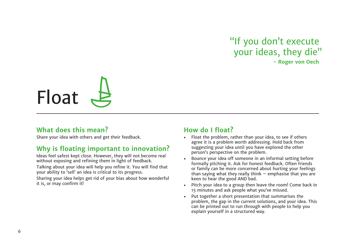# "If you don't execute your ideas, they die" **- Roger von Oech**



### **What does this mean?**

Share your idea with others and get their feedback.

# **Why is floating important to innovation?**

Ideas feel safest kept close. However, they will not become real without exposing and refining them in light of feedback.

Talking about your idea will help you refine it. You will find that your ability to 'sell' an idea is critical to its progress.

Sharing your idea helps get rid of your bias about how wonderful it is, or may confirm it!

# **How do I float?**

- Float the problem, rather than your idea, to see if others agree it is a problem worth addressing. Hold back from suggesting your idea until you have explored the other person's perspective on the problem.
- Bounce your idea off someone in an informal setting before formally pitching it. Ask for honest feedback. Often friends or family can be more concerned about hurting your feelings than saying what they really think  $-$  emphasise that you are keen to hear the good AND bad.
- Pitch your idea to a group then leave the room! Come back in 15 minutes and ask people what you've missed.
- Put together a short presentation that summarises the problem, the gap in the current solutions, and your idea. This can be printed out to run through with people to help you explain yourself in a structured way.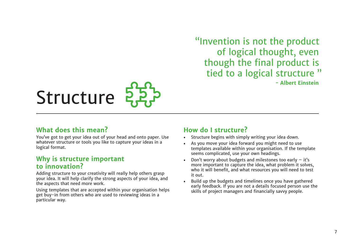"Invention is not the product of logical thought, even though the final product is tied to a logical structure " **- Albert Einstein**

# Structure 22,

# **What does this mean?**

You've got to get your idea out of your head and onto paper. Use whatever structure or tools you like to capture your ideas in a logical format.

## **Why is structure important to innovation?**

Adding structure to your creativity will really help others grasp your idea. It will help clarify the strong aspects of your idea, and the aspects that need more work.

Using templates that are accepted within your organisation helps get buy-in from others who are used to reviewing ideas in a particular way.

# **How do I structure?**

- Structure begins with simply writing your idea down.
- As you move your idea forward you might need to use templates available within your organisation. If the template seems complicated, use your own headings.
- Don't worry about budgets and milestones too early  $-$  it's more important to capture the idea, what problem it solves, who it will benefit, and what resources you will need to test it out.
- Build up the budgets and timelines once you have gathered early feedback. If you are not a details focused person use the skills of project managers and financially savvy people.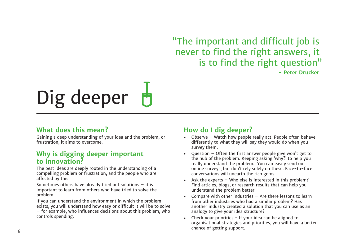"The important and difficult job is never to find the right answers, it is to find the right question"

**- Peter Drucker**

# Dig deeper

# **What does this mean?**

Gaining a deep understanding of your idea and the problem, or frustration, it aims to overcome.

# **Why is digging deeper important to innovation?**

The best ideas are deeply rooted in the understanding of a compelling problem or frustration, and the people who are affected by this.

Sometimes others have already tried out solutions  $-$  it is important to learn from others who have tried to solve the problem.

If you can understand the environment in which the problem exists, you will understand how easy or difficult it will be to solve – for example, who influences decisions about this problem, who controls spending.

# **How do I dig deeper?**

- Observe Watch how people really act. People often behave differently to what they will say they would do when you survey them.
- Question Often the first answer people give won't get to the nub of the problem. Keeping asking 'why?' to help you really understand the problem. You can easily send out online surveys, but don't rely solely on these. Face-to-face conversations will unearth the rich gems.
- Ask the experts  $-$  Who else is interested in this problem? Find articles, blogs, or research results that can help you understand the problem better.
- Compare with other industries Are there lessons to learn from other industries who had a similar problem? Has another industry created a solution that you can use as an analogy to give your idea structure?
- Check your priorities If your idea can be aligned to organisational strategies and priorities, you will have a better chance of getting support.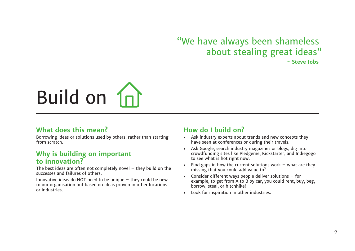# "We have always been shameless about stealing great ideas"

**- Steve Jobs**

# Build on  $n$

# **What does this mean?**

Borrowing ideas or solutions used by others, rather than starting from scratch.

## **Why is building on important to innovation?**

The best ideas are often not completely novel  $-$  they build on the successes and failures of others.

Innovative ideas do NOT need to be unique  $-$  they could be new to our organisation but based on ideas proven in other locations or industries.

# **How do I build on?**

- Ask industry experts about trends and new concepts they have seen at conferences or during their travels.
- Ask Google, search industry magazines or blogs, dig into crowdfunding sites like Pledgeme, Kickstarter, and Indiegogo to see what is hot right now.
- Find gaps in how the current solutions work  $-$  what are they missing that you could add value to?
- Consider different ways people deliver solutions  $-$  for example, to get from A to B by car, you could rent, buy, beg, borrow, steal, or hitchhike!
- Look for inspiration in other industries.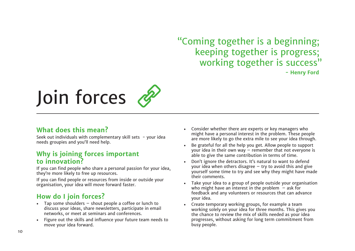"Coming together is a beginning; keeping together is progress; working together is success"

**- Henry Ford**

# Join forces

# **What does this mean?**

Seek out individuals with complementary skill sets - your idea needs groupies and you'll need help.

# **Why is joining forces important to innovation?**

If you can find people who share a personal passion for your idea, they're more likely to free up resources.

If you can find people or resources from inside or outside your organisation, your idea will move forward faster.

# **How do I join forces?**

- Tap some shoulders shout people a coffee or lunch to discuss your ideas, share newsletters, participate in email networks, or meet at seminars and conferences.
- Figure out the skills and influence your future team needs to move your idea forward.
- Consider whether there are experts or key managers who might have a personal interest in the problem. These people are more likely to go the extra mile to see your idea through.
- Be grateful for all the help you get. Allow people to support your idea in their own way – remember that not everyone is able to give the same contribution in terms of time.
- Don't ignore the detractors. It's natural to want to defend your idea when others disagree  $-$  try to avoid this and give yourself some time to try and see why they might have made their comments.
- Take your idea to a group of people outside your organisation who might have an interest in the problem  $-$  ask for feedback and any volunteers or resources that can advance your idea.
- Create temporary working groups, for example a team working solely on your idea for three months. This gives you the chance to review the mix of skills needed as your idea progresses, without asking for long term commitment from busy people.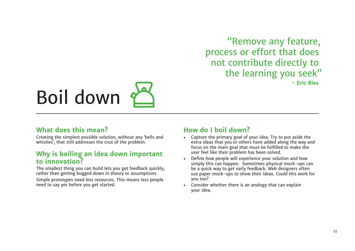"Remove any feature, process or effort that does not contribute directly to the learning you seek" **- Eric Ries**

# Boil down

## **What does this mean?**

Creating the simplest possible solution, without any 'bells and whistles', that still addresses the crux of the problem.

# **Why is boiling an idea down important to innovation?**

The smallest thing you can build lets you get feedback quickly, rather than getting bogged down in theory or assumptions. Simple prototypes need less resources. This means less people

need to say yes before you get started.

# **How do I boil down?**

- Capture the primary goal of your idea. Try to put aside the extra ideas that you or others have added along the way and focus on the main goal that must be fulfilled to make the user feel like their problem has been solved.
- Define how people will experience your solution and how simply this can happen. Sometimes physical mock-ups can be a quick way to get early feedback. Web designers often use paper mock-ups to show their ideas. Could this work for you too?
- Consider whether there is an analogy that can explain your idea.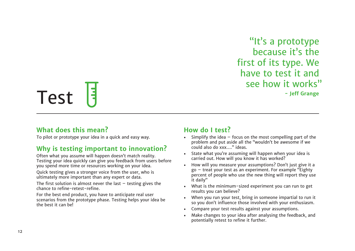"It's a prototype because it's the first of its type. We have to test it and see how it works"

# Test F

# **What does this mean?**

To pilot or prototype your idea in a quick and easy way.

# **Why is testing important to innovation?**

Often what you assume will happen doesn't match reality. Testing your idea quickly can give you feedback from users before you spend more time or resources working on your idea.

Quick testing gives a stronger voice from the user, who is ultimately more important than any expert or data.

The first solution is almost never the last  $-$  testing gives the chance to refine-retest-refine.

For the best end product, you have to anticipate real user scenarios from the prototype phase. Testing helps your idea be the best it can be!

# **How do I test?**

- Simplify the idea  $-$  focus on the most compelling part of the problem and put aside all the "wouldn't be awesome if we could also do xxx…." ideas.
- State what you're assuming will happen when your idea is carried out. How will you know it has worked?
- How will you measure your assumptions? Don't just give it a go – treat your test as an experiment. For example "Eighty percent of people who use the new thing will report they use it daily"
- What is the minimum-sized experiment you can run to get results you can believe?
- When you run your test, bring in someone impartial to run it so you don't influence those involved with your enthusiasm.
- Compare your test results against your assumptions.
- Make changes to your idea after analysing the feedback, and potentially retest to refine it further.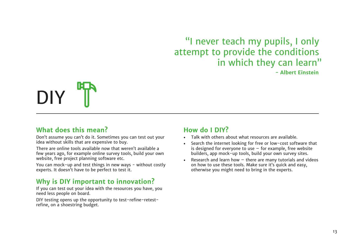# "I never teach my pupils, I only attempt to provide the conditions in which they can learn"

**- Albert Einstein**



## **What does this mean?**

Don't assume you can't do it. Sometimes you can test out your idea without skills that are expensive to buy.

There are online tools available now that weren't available a few years ago, for example online survey tools, build your own website, free project planning software etc.

You can mock-up and test things in new ways - without costly experts. It doesn't have to be perfect to test it.

# **Why is DIY important to innovation?**

If you can test out your idea with the resources you have, you need less people on board.

DIY testing opens up the opportunity to test-refine-retestrefine, on a shoestring budget.

# **How do I DIY?**

- Talk with others about what resources are available.
- Search the internet looking for free or low-cost software that is designed for everyone to use  $-$  for example, free website builders, app mock-up tools, build your own survey sites.
- Research and learn how  $-$  there are many tutorials and videos on how to use these tools. Make sure it's quick and easy, otherwise you might need to bring in the experts.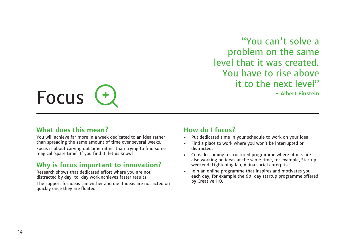"You can't solve a problem on the same level that it was created. You have to rise above it to the next level"

**- Albert Einstein**



## **What does this mean?**

You will achieve far more in a week dedicated to an idea rather than spreading the same amount of time over several weeks.

Focus is about carving out time rather than trying to find some magical 'spare time'. If you find it, let us know!

# **Why is focus important to innovation?**

Research shows that dedicated effort where you are not distracted by day-to-day work achieves faster results.

The support for ideas can wither and die if ideas are not acted on quickly once they are floated.

## **How do I focus?**

- Put dedicated time in your schedule to work on your idea.
- Find a place to work where you won't be interrupted or distracted.
- Consider joining a structured programme where others are also working on ideas at the same time, for example, Startup weekend, Lightening lab, Akina social enterprise.
- Join an online programme that inspires and motivates you each day, for example the 60-day startup programme offered by Creative HQ.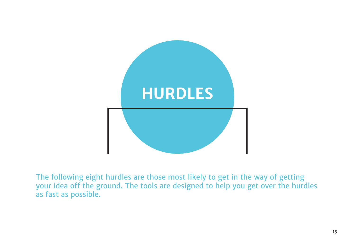

The following eight hurdles are those most likely to get in the way of getting your idea off the ground. The tools are designed to help you get over the hurdles as fast as possible.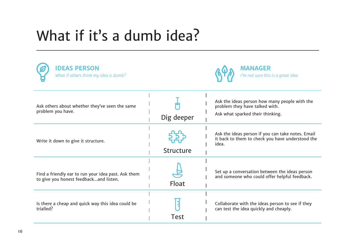# What if it's a dumb idea?

| <b>IDEAS PERSON</b><br>What if others think my idea is dumb?                                  |                  | <b>MANAGER</b><br>I'm not sure this is a great idea                                                                 |
|-----------------------------------------------------------------------------------------------|------------------|---------------------------------------------------------------------------------------------------------------------|
| Ask others about whether they've seen the same<br>problem you have.                           | Dig deeper       | Ask the ideas person how many people with the<br>problem they have talked with.<br>Ask what sparked their thinking. |
| Write it down to give it structure.                                                           | <b>Structure</b> | Ask the ideas person if you can take notes. Email<br>it back to them to check you have understood the<br>idea.      |
| Find a friendly ear to run your idea past. Ask them<br>to give you honest feedbackand listen. | Float            | Set up a conversation between the ideas person<br>and someone who could offer helpful feedback.                     |
| Is there a cheap and quick way this idea could be<br>trialled?                                | <b>Test</b>      | Collaborate with the ideas person to see if they<br>can test the idea quickly and cheaply.                          |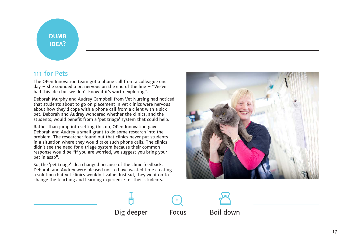# **DUMB IDEA?**

# 111 for Pets

The OPen Innovation team got a phone call from a colleague one day  $-$  she sounded a bit nervous on the end of the line  $-$  "We've had this idea but we don't know if it's worth exploring".

Deborah Murphy and Audrey Campbell from Vet Nursing had noticed that students about to go on placement in vet clinics were nervous about how they'd cope with a phone call from a client with a sick pet. Deborah and Audrey wondered whether the clinics, and the students, would benefit from a 'pet triage' system that could help.

Rather than jump into setting this up, OPen Innovation gave Deborah and Audrey a small grant to do some research into the problem. The researcher found out that clinics never put students in a situation where they would take such phone calls. The clinics didn't see the need for a triage system because their common response would be "If you are worried, we suggest you bring your pet in asap".

So, the 'pet triage' idea changed because of the clinic feedback. Deborah and Audrey were pleased not to have wasted time creating a solution that vet clinics wouldn't value. Instead, they went on to change the teaching and learning experience for their students.



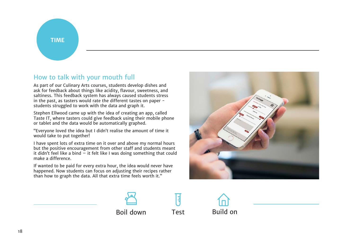**TIME**

# How to talk with your mouth full

As part of our Culinary Arts courses, students develop dishes and ask for feedback about things like acidity, flavour, sweetness, and saltiness. This feedback system has always caused students stress in the past, as tasters would rate the different tastes on paper students struggled to work with the data and graph it.

Stephen Ellwood came up with the idea of creating an app, called Taste IT, where tasters could give feedback using their mobile phone or tablet and the data would be automatically graphed.

"Everyone loved the idea but I didn't realise the amount of time it would take to put together!

I have spent lots of extra time on it over and above my normal hours but the positive encouragement from other staff and students meant it didn't feel like a bind  $-$  it felt like I was doing something that could make a difference.

If wanted to be paid for every extra hour, the idea would never have happened. Now students can focus on adjusting their recipes rather than how to graph the data. All that extra time feels worth it."



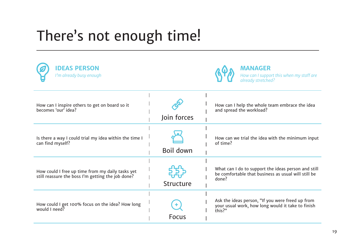# There's not enough time!

| <b>DEAS PERSON</b><br>I'm already busy enough                                                         |                  | <b>MANAGER</b><br>How can I support this when my staff are<br>already stretched?                                    |
|-------------------------------------------------------------------------------------------------------|------------------|---------------------------------------------------------------------------------------------------------------------|
| How can I inspire others to get on board so it<br>becomes 'our' idea?                                 | Join forces      | How can I help the whole team embrace the idea<br>and spread the workload?                                          |
| Is there a way I could trial my idea within the time I<br>can find myself?                            | <b>Boil down</b> | How can we trial the idea with the minimum input<br>of time?                                                        |
| How could I free up time from my daily tasks yet<br>still reassure the boss I'm getting the job done? | <b>Structure</b> | What can I do to support the ideas person and still<br>be comfortable that business as usual will still be<br>done? |
| How could I get 100% focus on the idea? How long<br>would I need?                                     | <b>Focus</b>     | Ask the ideas person, "If you were freed up from<br>your usual work, how long would it take to finish<br>this?"     |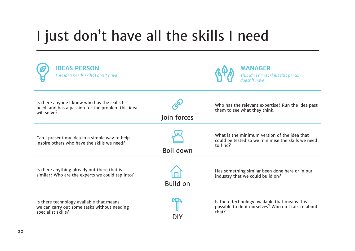# I just don't have all the skills I need

| <b>DEAS PERSON</b><br>This idea needs skills I don't have                                                       |                 | <b>MANAGER</b><br>This idea needs skills this person<br>doesn't have                                           |
|-----------------------------------------------------------------------------------------------------------------|-----------------|----------------------------------------------------------------------------------------------------------------|
| Is there anyone I know who has the skills I<br>need, and has a passion for the problem this idea<br>will solve? | Join forces     | Who has the relevant expertise? Run the idea past<br>them to see what they think.                              |
| Can I present my idea in a simple way to help<br>inspire others who have the skills we need?                    | Boil down       | What is the minimum version of the idea that<br>could be tested so we minimise the skills we need<br>to find?  |
| Is there anything already out there that is<br>similar? Who are the experts we could tap into?                  | <b>Build on</b> | Has something similar been done here or in our<br>industry that we could build on?                             |
| Is there technology available that means<br>we can carry out some tasks without needing<br>specialist skills?   | DIY             | Is there technology available that means it is<br>possible to do it ourselves? Who do I talk to about<br>that? |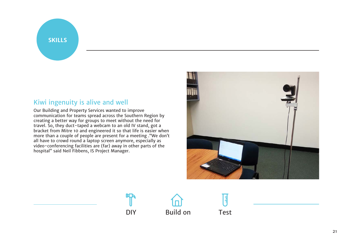#### **SKILLS**

# Kiwi ingenuity is alive and well

Our Building and Property Services wanted to improve communication for teams spread across the Southern Region by creating a better way for groups to meet without the need for travel. So, they duct-taped a webcam to an old IV stand, got a bracket from Mitre 10 and engineered it so that life is easier when more than a couple of people are present for a meeting ."We don't all have to crowd round a laptop screen anymore, especially as video-conferencing facilities are (far) away in other parts of the hospital" said Neil Fibbens, IS Project Manager.





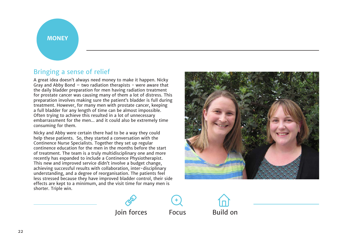#### **MONEY**

### Bringing a sense of relief

A great idea doesn't always need money to make it happen. Nicky Gray and Abby Bond  $-$  two radiation therapists  $-$  were aware that the daily bladder preparation for men having radiation treatment for prostate cancer was causing many of them a lot of distress. This preparation involves making sure the patient's bladder is full during treatment. However, for many men with prostate cancer, keeping a full bladder for any length of time can be almost impossible. Often trying to achieve this resulted in a lot of unnecessary embarrassment for the men... and it could also be extremely time consuming for them.

Nicky and Abby were certain there had to be a way they could help these patients. So, they started a conversation with the Continence Nurse Specialists. Together they set up regular continence education for the men in the months before the start of treatment. The team is a truly multidisciplinary one and more recently has expanded to include a Continence Physiotherapist. This new and improved service didn't involve a budget change, achieving successful results with collaboration, inter-disciplinary understanding, and a degree of reorganisation. The patients feel less stressed because they have improved bladder control, their side effects are kept to a minimum, and the visit time for many men is shorter. Triple win.







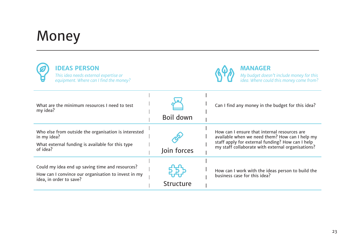# Money

| <b>IDEAS PERSON</b><br>This idea needs external expertise or<br>equipment. Where can I find the money?                              |             | <b>MANAGER</b><br>My budget doesn't include money for this<br>idea. Where could this money come from?                                                                                                   |
|-------------------------------------------------------------------------------------------------------------------------------------|-------------|---------------------------------------------------------------------------------------------------------------------------------------------------------------------------------------------------------|
| What are the minimum resources I need to test<br>my idea?                                                                           | Boil down   | Can I find any money in the budget for this idea?                                                                                                                                                       |
| Who else from outside the organisation is interested<br>in my idea?<br>What external funding is available for this type<br>of idea? | Join forces | How can I ensure that internal resources are<br>available when we need them? How can I help my<br>staff apply for external funding? How can I help<br>my staff collaborate with external organisations? |
| Could my idea end up saving time and resources?<br>How can I convince our organisation to invest in my<br>idea, in order to save?   | Structure   | How can I work with the ideas person to build the<br>business case for this idea?                                                                                                                       |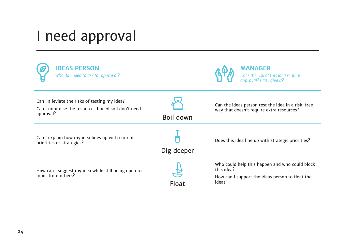# I need approval

| <b>IDEAS PERSON</b><br>Who do I need to ask for approval?                                                         |              | <b>MANAGER</b><br>Does the risk of this idea require<br>approval? Can I give it?                                         |
|-------------------------------------------------------------------------------------------------------------------|--------------|--------------------------------------------------------------------------------------------------------------------------|
| Can I alleviate the risks of testing my idea?<br>Can I minimise the resources I need so I don't need<br>approval? | Boil down    | Can the ideas person test the idea in a risk-free<br>way that doesn't require extra resources?                           |
| Can I explain how my idea lines up with current<br>priorities or strategies?                                      | Dig deeper   | Does this idea line up with strategic priorities?                                                                        |
| How can I suggest my idea while still being open to<br>input from others?                                         | <b>Float</b> | Who could help this happen and who could block<br>this idea?<br>How can I support the ideas person to float the<br>idea? |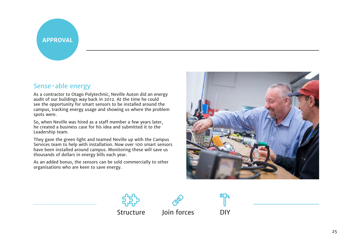### **APPROVAL**

# Sense-able energy

As a contractor to Otago Polytechnic, Neville Auton did an energy audit of our buildings way back in 2012. At the time he could see the opportunity for smart sensors to be installed around the campus, tracking energy usage and showing us where the problem spots were.

So, when Neville was hired as a staff member a few years later, he created a business case for his idea and submitted it to the Leadership team.

They gave the green light and teamed Neville up with the Campus Services team to help with installation. Now over 100 smart sensors have been installed around campus. Monitoring these will save us thousands of dollars in energy bills each year.

As an added bonus, the sensors can be sold commercially to other organisations who are keen to save energy.





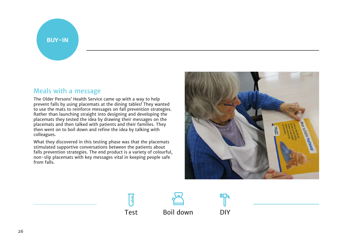#### **BUY-IN**

# Meals with a message

The Older Persons' Health Service came up with a way to help prevent falls by using placemats at the dining tables! They wanted to use the mats to reinforce messages on fall prevention strategies. Rather than launching straight into designing and developing the placemats they tested the idea by drawing their messages on the placemats and then talked with patients and their families. They then went on to boil down and refine the idea by talking with colleagues.

What they discovered in this testing phase was that the placemats stimulated supportive conversations between the patients about falls prevention strategies. The end product is a variety of colourful, non-slip placemats with key messages vital in keeping people safe from falls.



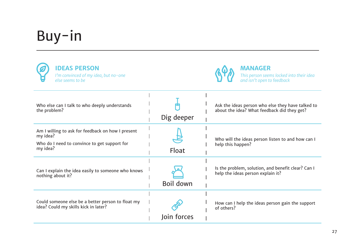# Buy-in

| <b>IDEAS PERSON</b><br>I'm convinced of my idea, but no-one<br>else seems to be                                           |                  | <b>MANAGER</b><br>This person seems locked into their idea<br>and isn't open to feedback         |
|---------------------------------------------------------------------------------------------------------------------------|------------------|--------------------------------------------------------------------------------------------------|
| Who else can I talk to who deeply understands<br>the problem?                                                             | Dig deeper       | Ask the ideas person who else they have talked to<br>about the idea? What feedback did they get? |
| Am I willing to ask for feedback on how I present<br>my idea?<br>Who do I need to convince to get support for<br>my idea? | <b>Float</b>     | Who will the ideas person listen to and how can I<br>help this happen?                           |
| Can I explain the idea easily to someone who knows<br>nothing about it?                                                   | <b>Boil down</b> | Is the problem, solution, and benefit clear? Can I<br>help the ideas person explain it?          |
| Could someone else be a better person to float my<br>idea? Could my skills kick in later?                                 | Join forces      | How can I help the ideas person gain the support<br>of others?                                   |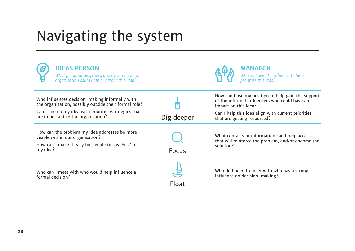# Navigating the system

| <b>IDEAS PERSON</b><br>What personalities, roles, and dynamics in our<br>organisation could help or hinder this idea?                                                                                  |              | <b>MANAGER</b><br>Who do I need to influence to help<br>progress this idea?                                                                                                                                      |
|--------------------------------------------------------------------------------------------------------------------------------------------------------------------------------------------------------|--------------|------------------------------------------------------------------------------------------------------------------------------------------------------------------------------------------------------------------|
| Who influences decision-making informally with<br>the organisation, possibly outside their formal role?<br>Can I line up my idea with priorities/strategies that<br>are important to the organisation? | Dig deeper   | How can I use my position to help gain the support<br>of the informal influencers who could have an<br>impact on this idea?<br>Can I help this idea align with current priorities<br>that are getting resourced? |
| How can the problem my idea addresses be more<br>visible within our organisation?<br>How can I make it easy for people to say 'Yes!' to<br>my idea?                                                    | <b>Focus</b> | What contacts or information can I help access<br>that will reinforce the problem, and/or endorse the<br>solution?                                                                                               |
| Who can I meet with who would help influence a<br>formal decision?                                                                                                                                     | <b>Float</b> | Who do I need to meet with who has a strong<br>influence on decision-making?                                                                                                                                     |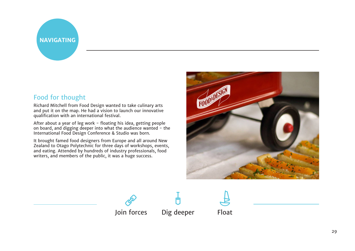# **NAVIGATING**

# Food for thought

Richard Mitchell from Food Design wanted to take culinary arts and put it on the map. He had a vision to launch our innovative qualification with an international festival.

After about a year of leg work - floating his idea, getting people on board, and digging deeper into what the audience wanted - the International Food Design Conference & Studio was born.

It brought famed food designers from Europe and all around New Zealand to Otago Polytechnic for three days of workshops, events, and eating. Attended by hundreds of industry professionals, food writers, and members of the public, it was a huge success.



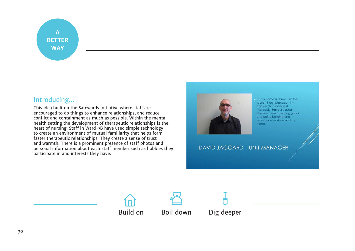# **A BETTER WAY**

# Introducing...

This idea built on the Safewards initiative where staff are encouraged to do things to enhance relationships, and reduce conflict and containment as much as possible. Within the mental health setting the development of therapeutic relationships is the heart of nursing. Staff in Ward 9B have used simple technology to create an environment of mutual familiarity that helps form faster therapeutic relationships. They create a sense of trust and warmth. There is a prominent presence of staff photos and personal information about each staff member such as hobbies they participate in and interests they have.



Hi, my name is David, I'm the Ward 11 Unit Manager. I'm also an Occupational Therapist, I have 3 young children, I enjoy playing guitar and doing building and renovation work around my home.

**DAVID JAGGARD - UNIT MANAGER** 





Build on Boil down Dig deeper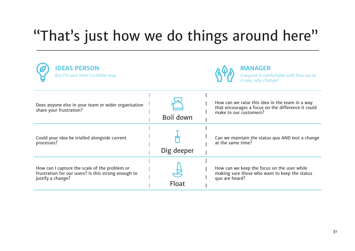# "That's just how we do things around here"

| <b>IDEAS PERSON</b><br>But I'm sure there's a better way                                                                  |            | <b>MANAGER</b><br>Everyone is comfortable with how we do<br>it now, why change?                                                 |
|---------------------------------------------------------------------------------------------------------------------------|------------|---------------------------------------------------------------------------------------------------------------------------------|
| Does anyone else in your team or wider organisation<br>share your frustration?                                            | Boil down  | How can we raise this idea in the team in a way<br>that encourages a focus on the difference it could<br>make to our customers? |
| Could your idea be trialled alongside current<br>processes?                                                               | Dig deeper | Can we maintain the status quo AND test a change<br>at the same time?                                                           |
| How can I capture the scale of the problem or<br>frustration for our users? Is this strong enough to<br>justify a change? | Float      | How can we keep the focus on the user while<br>making sure those who want to keep the status<br>quo are heard?                  |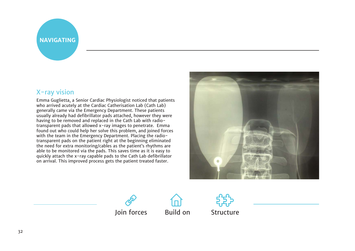# **NAVIGATING**

## X-ray vision

Emma Guglietta, a Senior Cardiac Physiologist noticed that patients who arrived acutely at the Cardiac Catherisation Lab (Cath Lab) generally came via the Emergency Department. These patients usually already had defibrillator pads attached, however they were having to be removed and replaced in the Cath Lab with radiotransparent pads that allowed x-ray images to penetrate. Emma found out who could help her solve this problem, and joined forces with the team in the Emergency Department. Placing the radiotransparent pads on the patient right at the beginning eliminated the need for extra monitoring/cables as the patient's rhythms are able to be monitored via the pads. This saves time as it is easy to quickly attach the x-ray capable pads to the Cath Lab defibrillator on arrival. This improved process gets the patient treated faster.





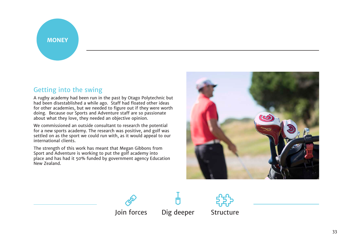#### **MONEY**

## Getting into the swing

A rugby academy had been run in the past by Otago Polytechnic but had been disestablished a while ago. Staff had floated other ideas for other academies, but we needed to figure out if they were worth doing. Because our Sports and Adventure staff are so passionate about what they love, they needed an objective opinion.

We commissioned an outside consultant to research the potential for a new sports academy. The research was positive, and golf was settled on as the sport we could run with, as it would appeal to our international clients.

The strength of this work has meant that Megan Gibbons from Sport and Adventure is working to put the golf academy into place and has had it 50% funded by government agency Education New Zealand.







Join forces Dig deeper Structure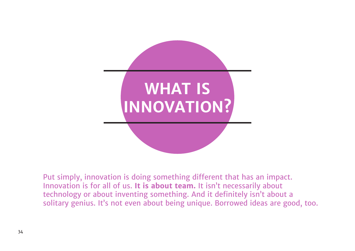

Put simply, innovation is doing something different that has an impact. Innovation is for all of us. **It is about team.** It isn't necessarily about technology or about inventing something. And it definitely isn't about a solitary genius. It's not even about being unique. Borrowed ideas are good, too.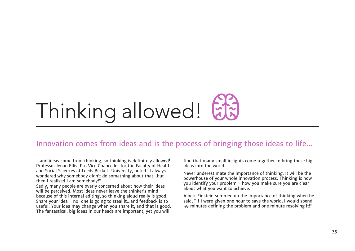# Thinking allowed!

# Innovation comes from ideas and is the process of bringing those ideas to life...

...and ideas come from thinking, so thinking is definitely allowed! Professor Ieuan Ellis, Pro Vice Chancellor for the Faculty of Health and Social Sciences at Leeds Beckett University, noted "I always wondered why somebody didn't do something about that...but then I realised I am somebody!"

Sadly, many people are overly concerned about how their ideas will be perceived. Most ideas never leave the thinker's mind because of this internal editing, so thinking aloud really is good. Share your idea - no-one is going to steal it...and feedback is so useful. Your idea may change when you share it, and that is good. The fantastical, big ideas in our heads are important, yet you will

find that many small insights come together to bring these big ideas into the world.

Never underestimate the importance of thinking. It will be the powerhouse of your whole innovation process. Thinking is how you identify your problem - how you make sure you are clear about what you want to achieve.

Albert Einstein summed up the importance of thinking when he said, "If I were given one hour to save the world, I would spend 59 minutes defining the problem and one minute resolving it!"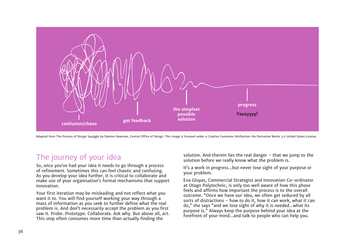

Adapted from The Process of Design Squiggle by Damien Newman, Central Office of Design. This image is licensed under a Creative Commons Attribution-No Derivative Works 3.0 United States License.

# The journey of your idea

So, once you've had your idea it needs to go through a process of refinement. Sometimes this can feel chaotic and confusing. As you develop your idea further, it is critical to collaborate and make use of your organisation's formal mechanisms that support innovation.

Your first iteration may be misleading and not reflect what you want it to. You will find yourself working your way through a mass of information as you seek to further define what the real problem is. And don't necessarily accept the problem as you first saw it. Probe. Prototype. Collaborate. Ask why. But above all, act. This step often consumes more time than actually finding the

solution. And therein lies the real danger - that we jump to the solution before we really know what the problem is.

It's a work in progress...but never lose sight of your purpose or your problem.

Eva Gluyas, Commercial Strategist and Innovation Co-ordinator at Otago Polytechnic, is only too well aware of how this phase feels and affirms how important the process is to the overall outcome. "Once we have our idea, we often get seduced by all sorts of distractions - how to do it, how it can work, what it can do," she says "and we lose sight of why it is needed...what its purpose is." Always keep the purpose behind your idea at the forefront of your mind...and talk to people who can help you.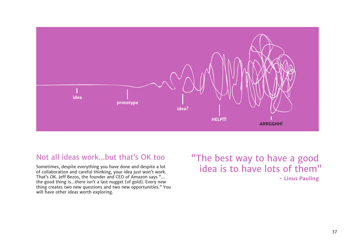

# Not all ideas work...but that's OK too

Sometimes, despite everything you have done and despite a lot of collaboration and careful thinking, your idea just won't work. That's OK. Jeff Bezos, the founder and CEO of Amazon says "... the good thing is...there isn't a last nugget (of gold). Every new thing creates two new questions and two new opportunities." You will have other ideas worth exploring.

"The best way to have a good idea is to have lots of them" **- Linus Pauling**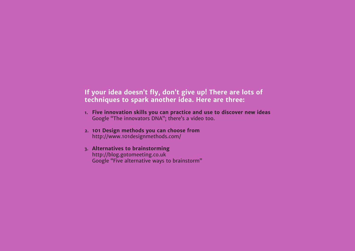# **If your idea doesn't fly, don't give up! There are lots of techniques to spark another idea. Here are three:**

- **1. Five innovation skills you can practice and use to discover new ideas**  Google "The innovators DNA"; there's a video too.
- **2. 101 Design methods you can choose from**  http://www.101designmethods.com/
- **3. Alternatives to brainstorming**  http://blog.gotomeeting.co.uk Google "Five alternative ways to brainstorm"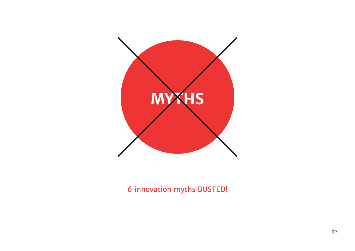

6 innovation myths BUSTED!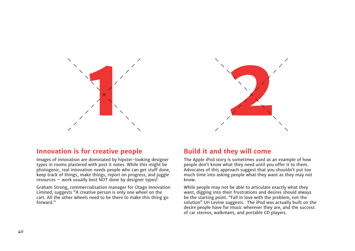



### **Innovation is for creative people**

Images of innovation are dominated by hipster-looking designer types in rooms plastered with post it notes. While this might be photogenic, real innovation needs people who can get stuff done, keep track of things, make things, report on progress, and juggle resources – work usually best NOT done by designer types!

Graham Strong, commercialisation manager for Otago Innovation Limited, suggests "A creative person is only one wheel on the cart. All the other wheels need to be there to make this thing go forward."

### **Build it and they will come**

The Apple iPod story is sometimes used as an example of how people don't know what they need until you offer it to them. Advocates of this approach suggest that you shouldn't put too much time into asking people what they want as they may not know.

While people may not be able to articulate exactly what they want, digging into their frustrations and desires should always be the starting point. "Fall in love with the problem, not the solution" Uri Levine suggests. The iPod was actually built on the desire people have for music wherever they are, and the success of car stereos, walkmans, and portable CD players.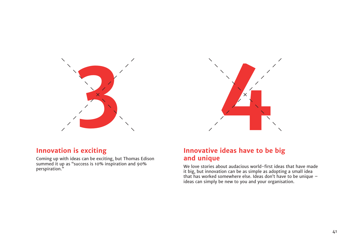

# **Innovation is exciting**

Coming up with ideas can be exciting, but Thomas Edison summed it up as "success is 10% inspiration and 90% perspiration."



## **Innovative ideas have to be big and unique**

We love stories about audacious world-first ideas that have made it big, but innovation can be as simple as adopting a small idea that has worked somewhere else. Ideas don't have to be unique – ideas can simply be new to you and your organisation.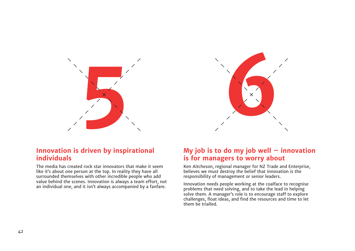

## **Innovation is driven by inspirational individuals**

The media has created rock star innovators that make it seem like it's about one person at the top. In reality they have all surrounded themselves with other incredible people who add value behind the scenes. Innovation is always a team effort, not an individual one, and it isn't always accompanied by a fanfare.

# **My job is to do my job well – innovation is for managers to worry about**

Ken Aitcheson, regional manager for NZ Trade and Enterprise, believes we must destroy the belief that innovation is the responsibility of management or senior leaders.

Innovation needs people working at the coalface to recognise problems that need solving, and to take the lead in helping solve them. A manager's role is to encourage staff to explore challenges, float ideas, and find the resources and time to let them be trialled.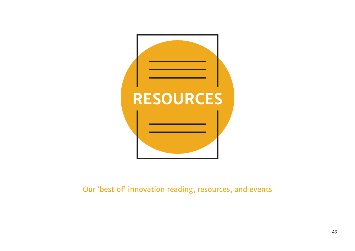

Our 'best of' innovation reading, resources, and events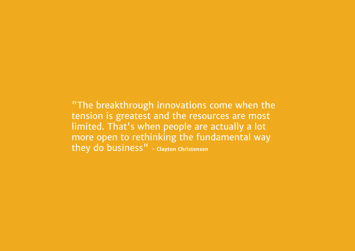"The breakthrough innovations come when the tension is greatest and the resources are most limited. That's when people are actually a lot more open to rethinking the fundamental way they do business" **- Clayton Christensen**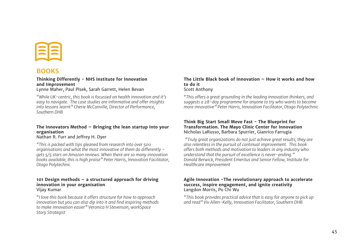

### **BOOKS**

#### **Thinking Differently - NHS Institute for Innovation and Improvement**

Lynne Maher, Paul Plsek, Sarah Garrett, Helen Bevan

*"While UK-centric, this book is focussed on health innovation and it's easy to navigate. The case studies are informative and offer insights into lessons learnt" Cherie McConville, Director of Performance, Southern DHB* 

#### **The Innovators Method – Bringing the lean startup into your organisation**

Nathan R. Furr and Jeffrey H. Dyer

*"This is packed with tips gleaned from research into over 500 organisations and what the most innovative of them do differently – gets 5/5 stars on Amazon reviews. When there are so many innovation books available, this is high praise" Peter Harris, Innovation Facilitator, Otago Polytechnic* 

#### **101 Design methods – a structured approach for driving innovation in your organisation**  Vijay Kumar

*"I love this book because it offers structure for how to approach innovation but you can also dip into it and find inspiring methods to make innovation easier" Veronica H Stevenson, workSpace Story Strategist* 

#### **The Little Black book of Innovation – How it works and how to do it**  Scott Anthony

*"This offers a great grounding in the leading innovation thinkers, and suggests a 28-day programme for anyone to try who wants to become more innovative" Peter Harris, Innovation Facilitator, Otago Polytechnic*

#### **Think Big Start Small Move Fast - The Blueprint for Transformation. The Mayo Clinic Center for Innovation**  Nicholas LaRusso, Barbara Spurrier, Gianrico Farrugia

*"Truly great organizations do not just achieve great results; they are also relentless in the pursuit of continual improvement. This book offers both methods and motivation to leaders in any industry who understand that the pursuit of excellence is never-ending." Donald Berwick, President Emeritus and Senior Fellow, Institute for Healthcare Improvement*

#### **Agile Innovation -The revolutionary approach to accelerate success, inspire engagement, and ignite creativity**  Langdon Morris, Po Chi Wu

*"This book provides practical advice that is easy for anyone to pick up and read" Viv Allen-Kelly, Innovation Facilitator, Southern DHB*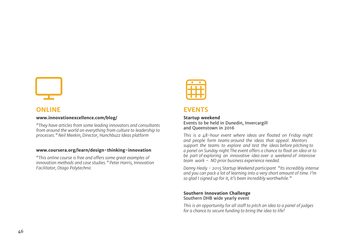

## **ONLINE**

#### **www.innovationexcellence.com/blog/**

*"They have articles from some leading innovators and consultants from around the world on everything from culture to leadership to processes." Neil Meekin, Director, Hunchbuzz Ideas platform* 

#### **www.coursera.org/learn/design-thinking-innovation**

*"This online course is free and offers some great examples of innovation methods and case studies." Peter Harris, Innovation Facilitator, Otago Polytechnic*



#### **EVENTS**

#### **Startup weekend**

Events to be held in Dunedin, Invercargill and Queenstown in 2016

*This is a 48-hour event where ideas are floated on Friday night and people form teams around the ideas that appeal. Mentors support the teams to explore and test the ideas before pitching to a panel on Sunday night.The event offers a chance to float an idea or to be part of exploring an innovative idea over a weekend of intensive team work – NO prior business experience needed.* 

*Danny Healy - 2015 Startup Weekend participant "Its incredibly intense and you can pack a lot of learning into a very short amount of time. I'm so glad I signed up for it, it's been incredibly worthwhile."*

#### **Southern Innovation Challenge**  Southern DHB wide yearly event

*This is an opportunity for all staff to pitch an idea to a panel of judges for a chance to secure funding to bring the idea to life!*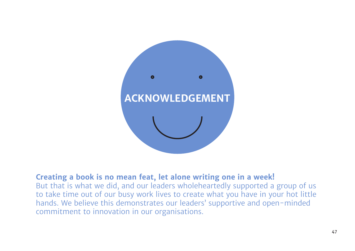

# **Creating a book is no mean feat, let alone writing one in a week!**

But that is what we did, and our leaders wholeheartedly supported a group of us to take time out of our busy work lives to create what you have in your hot little hands. We believe this demonstrates our leaders' supportive and open-minded commitment to innovation in our organisations.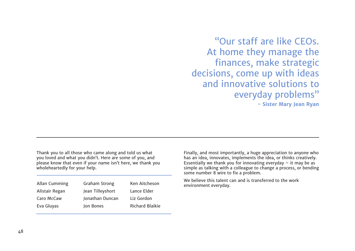"Our staff are like CEOs. At home they manage the finances, make strategic decisions, come up with ideas and innovative solutions to everyday problems" **- Sister Mary Jean Ryan**

Thank you to all those who came along and told us what you loved and what you didn't. Here are some of you, and please know that even if your name isn't here, we thank you wholeheartedly for your help.

| <b>Graham Strong</b> | Ken Aitcheson          |
|----------------------|------------------------|
| Jean Tilleyshort     | Lance Elder            |
| Jonathan Duncan      | Liz Gordon             |
| Jon Bones            | <b>Richard Blaikie</b> |
|                      |                        |

Finally, and most importantly, a huge appreciation to anyone who has an idea, innovates, implements the idea, or thinks creatively. Essentially we thank you for innovating everyday  $-$  it may be as simple as talking with a colleague to change a process, or bending some number 8 wire to fix a problem.

We believe this talent can and is transferred to the work environment everyday.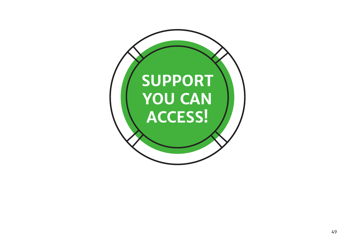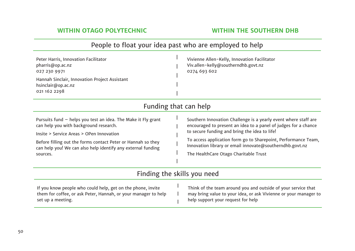| People to float your idea past who are employed to help                                                                                                                                                                                                                                           |                                                                                                                                                                                                                                                                                                                                                            |  |
|---------------------------------------------------------------------------------------------------------------------------------------------------------------------------------------------------------------------------------------------------------------------------------------------------|------------------------------------------------------------------------------------------------------------------------------------------------------------------------------------------------------------------------------------------------------------------------------------------------------------------------------------------------------------|--|
| Peter Harris, Innovation Facilitator<br>pharris@op.ac.nz<br>027 230 9971<br>Hannah Sinclair, Innovation Project Assistant<br>hsinclair@op.ac.nz<br>021 162 2298                                                                                                                                   | Vivienne Allen-Kelly, Innovation Facilitator<br>Viv.allen-kelly@southerndhb.govt.nz<br>0274 693 602                                                                                                                                                                                                                                                        |  |
| Funding that can help                                                                                                                                                                                                                                                                             |                                                                                                                                                                                                                                                                                                                                                            |  |
| Pursuits fund $-$ helps you test an idea. The Make it Fly grant<br>can help you with background research.<br>Insite > Service Areas > OPen Innovation<br>Before filling out the forms contact Peter or Hannah so they<br>can help you! We can also help identify any external funding<br>sources. | Southern Innovation Challenge is a yearly event where staff are<br>encouraged to present an idea to a panel of judges for a chance<br>to secure funding and bring the idea to life!<br>To access application form go to Sharepoint, Performance Team,<br>Innovation library or email innovate@southerndhb.govt.nz<br>The HealthCare Otago Charitable Trust |  |
| Finding the skills you need                                                                                                                                                                                                                                                                       |                                                                                                                                                                                                                                                                                                                                                            |  |
| If you know people who could help, get on the phone, invite<br>them for coffee, or ask Peter, Hannah, or your manager to help<br>set up a meeting.                                                                                                                                                | Think of the team around you and outside of your service that<br>may bring value to your idea, or ask Vivienne or your manager to<br>help support your request for help                                                                                                                                                                                    |  |

50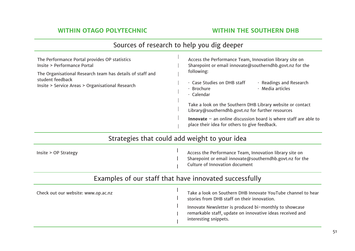| The Performance Portal provides OP statistics<br>Insite > Performance Portal<br>The Organisational Research team has details of staff and<br>student feedback<br>Insite > Service Areas > Organisational Research | Access the Performance Team, Innovation library site on<br>Sharepoint or email innovate@southerndhb.govt.nz for the<br>following:<br>· Case Studies on DHB staff<br>$\cdot$ Readings and Research<br>$\cdot$ Media articles<br>· Brochure<br>$\cdot$ Calendar<br>Take a look on the Southern DHB Library website or contact<br>Library@southerndhb.govt.nz for further resources<br>Innovate $-$ an online discussion board is where staff are able to<br>place their idea for others to give feedback. |
|-------------------------------------------------------------------------------------------------------------------------------------------------------------------------------------------------------------------|---------------------------------------------------------------------------------------------------------------------------------------------------------------------------------------------------------------------------------------------------------------------------------------------------------------------------------------------------------------------------------------------------------------------------------------------------------------------------------------------------------|
|                                                                                                                                                                                                                   | Strategies that could add weight to your idea                                                                                                                                                                                                                                                                                                                                                                                                                                                           |
| Insite > OP Strategy                                                                                                                                                                                              | Access the Performance Team, Innovation library site on<br>Sharepoint or email innovate@southerndhb.govt.nz for the<br>Culture of Innovation document                                                                                                                                                                                                                                                                                                                                                   |
|                                                                                                                                                                                                                   | Examples of our staff that have innovated successfully                                                                                                                                                                                                                                                                                                                                                                                                                                                  |
| Check out our website: www.op.ac.nz                                                                                                                                                                               | Take a look on Southern DHB Innovate YouTube channel to hear<br>stories from DHB staff on their innovation.<br>Innovate Newsletter is produced bi-monthly to showcase<br>remarkable staff, update on innovative ideas received and<br>interesting snippets.                                                                                                                                                                                                                                             |

# Sources of research to help you dig deeper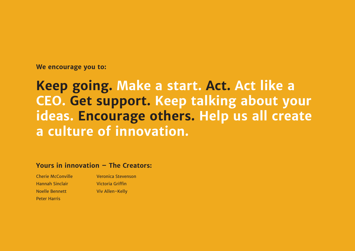**We encourage you to:**

# **Keep going. Make a start. Act. Act like a CEO. Get support. Keep talking about your ideas. Encourage others. Help us all create a culture of innovation.**

### **Yours in innovation – The Creators:**

Cherie McConville Hannah Sinclair Noelle Bennett Peter Harris

Veronica Stevenson Victoria Griffin Viv Allen-Kelly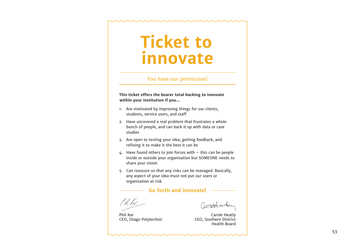# **Ticket to innovate**

#### You have our permission!

**This ticket offers the bearer total backing to innovate within your institution if you...**

- 1. Are motivated by improving things for our clients, students, service users, and staff
- 2. Have uncovered a real problem that frustrates a whole bunch of people, and can back it up with data or case studies
- 3. Are open to testing your idea, getting feedback, and refining it to make it the best it can be
- 4. Have found others to join forces with this can be people inside or outside your organisation but SOMEONE needs to share your vision
- 5. Can reassure us that any risks can be managed. Basically, any aspect of your idea must not put our users or organisation at risk

#### **Go forth and innovate!**

PR1er

Phil Ker CEO, Otago Polytechnic

Carole Heatly CEO, Southern District Health Board